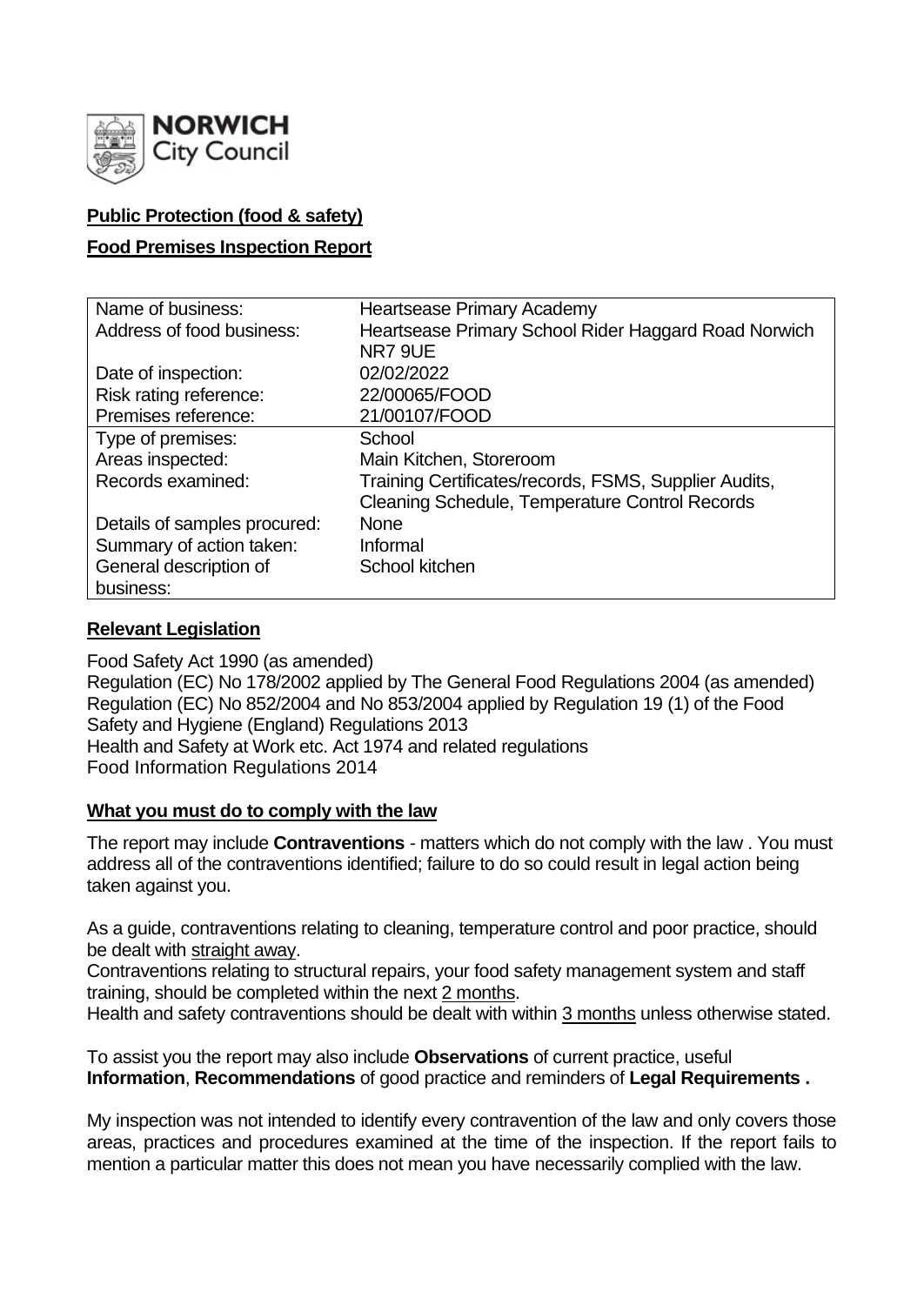

# **Public Protection (food & safety)**

# **Food Premises Inspection Report**

| Name of business:            | <b>Heartsease Primary Academy</b>                     |  |  |  |  |  |
|------------------------------|-------------------------------------------------------|--|--|--|--|--|
| Address of food business:    | Heartsease Primary School Rider Haggard Road Norwich  |  |  |  |  |  |
|                              | NR7 9UE                                               |  |  |  |  |  |
| Date of inspection:          | 02/02/2022                                            |  |  |  |  |  |
| Risk rating reference:       | 22/00065/FOOD                                         |  |  |  |  |  |
| Premises reference:          | 21/00107/FOOD                                         |  |  |  |  |  |
| Type of premises:            | School                                                |  |  |  |  |  |
| Areas inspected:             | Main Kitchen, Storeroom                               |  |  |  |  |  |
| Records examined:            | Training Certificates/records, FSMS, Supplier Audits, |  |  |  |  |  |
|                              | Cleaning Schedule, Temperature Control Records        |  |  |  |  |  |
| Details of samples procured: | <b>None</b>                                           |  |  |  |  |  |
| Summary of action taken:     | Informal                                              |  |  |  |  |  |
| General description of       | School kitchen                                        |  |  |  |  |  |
| business:                    |                                                       |  |  |  |  |  |

# **Relevant Legislation**

Food Safety Act 1990 (as amended) Regulation (EC) No 178/2002 applied by The General Food Regulations 2004 (as amended) Regulation (EC) No 852/2004 and No 853/2004 applied by Regulation 19 (1) of the Food Safety and Hygiene (England) Regulations 2013 Health and Safety at Work etc. Act 1974 and related regulations Food Information Regulations 2014

# **What you must do to comply with the law**

The report may include **Contraventions** - matters which do not comply with the law . You must address all of the contraventions identified; failure to do so could result in legal action being taken against you.

As a guide, contraventions relating to cleaning, temperature control and poor practice, should be dealt with straight away.

Contraventions relating to structural repairs, your food safety management system and staff training, should be completed within the next 2 months.

Health and safety contraventions should be dealt with within 3 months unless otherwise stated.

To assist you the report may also include **Observations** of current practice, useful **Information**, **Recommendations** of good practice and reminders of **Legal Requirements .**

My inspection was not intended to identify every contravention of the law and only covers those areas, practices and procedures examined at the time of the inspection. If the report fails to mention a particular matter this does not mean you have necessarily complied with the law.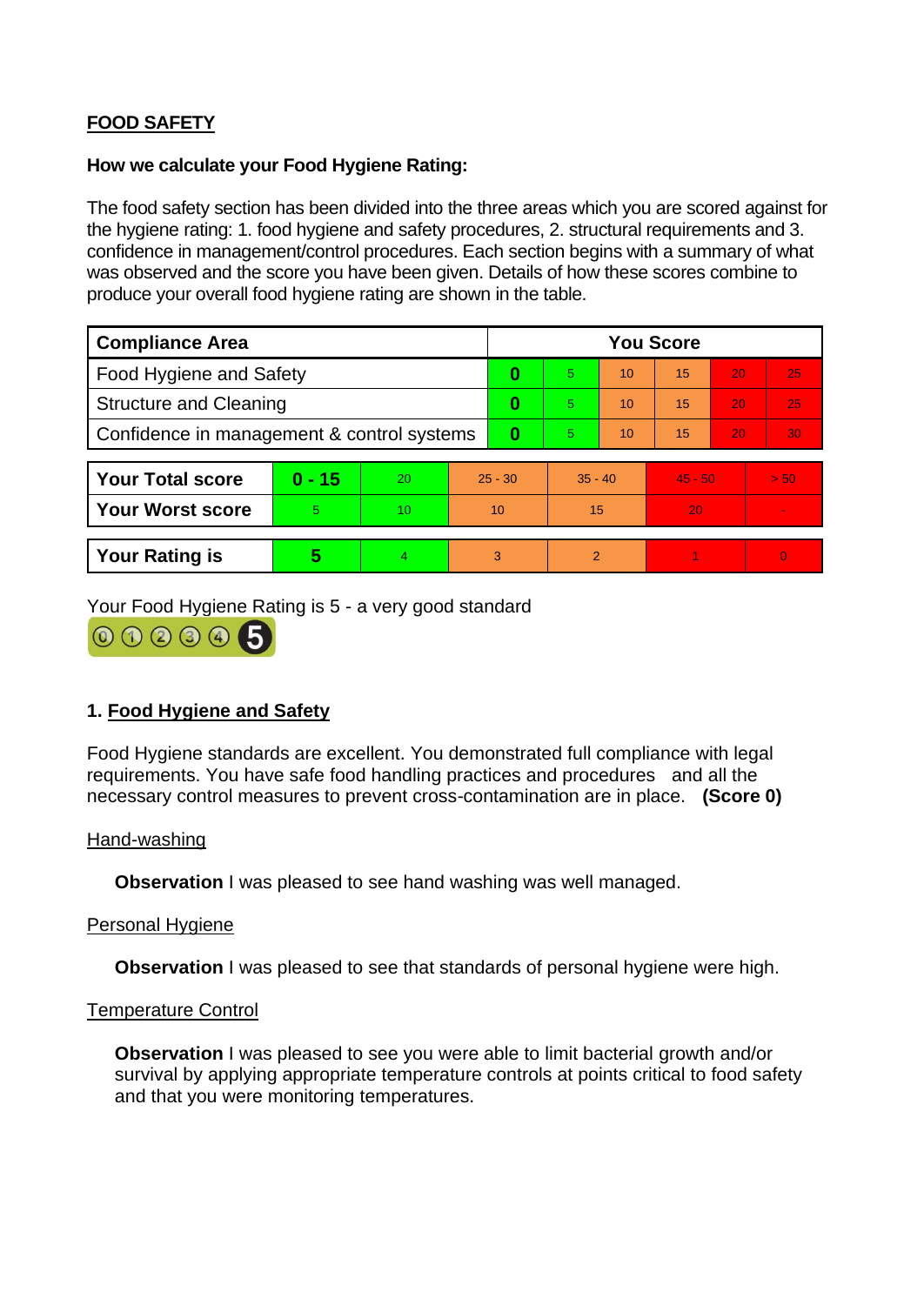# **FOOD SAFETY**

## **How we calculate your Food Hygiene Rating:**

The food safety section has been divided into the three areas which you are scored against for the hygiene rating: 1. food hygiene and safety procedures, 2. structural requirements and 3. confidence in management/control procedures. Each section begins with a summary of what was observed and the score you have been given. Details of how these scores combine to produce your overall food hygiene rating are shown in the table.

| <b>Compliance Area</b>                     |          |    |           | <b>You Score</b> |                |    |           |    |                |  |  |
|--------------------------------------------|----------|----|-----------|------------------|----------------|----|-----------|----|----------------|--|--|
| Food Hygiene and Safety                    |          |    |           | 0                | 5.             | 10 | 15        | 20 | 25             |  |  |
| <b>Structure and Cleaning</b>              |          |    |           | $\bf{0}$         | 5.             | 10 | 15        | 20 | 25             |  |  |
| Confidence in management & control systems |          |    | $\bf{0}$  | 5.               | 10             | 15 | 20        | 30 |                |  |  |
|                                            |          |    |           |                  |                |    |           |    |                |  |  |
| <b>Your Total score</b>                    | $0 - 15$ | 20 | $25 - 30$ |                  | $35 - 40$      |    | $45 - 50$ |    | > 50           |  |  |
| <b>Your Worst score</b>                    | 5        | 10 | 10        |                  | 15             |    | 20        |    |                |  |  |
|                                            |          |    |           |                  |                |    |           |    |                |  |  |
| <b>Your Rating is</b>                      | 5        | 4  |           | 3                | $\overline{2}$ |    |           |    | $\overline{0}$ |  |  |

Your Food Hygiene Rating is 5 - a very good standard



# **1. Food Hygiene and Safety**

Food Hygiene standards are excellent. You demonstrated full compliance with legal requirements. You have safe food handling practices and procedures and all the necessary control measures to prevent cross-contamination are in place. **(Score 0)**

# Hand-washing

**Observation** I was pleased to see hand washing was well managed.

### Personal Hygiene

**Observation** I was pleased to see that standards of personal hygiene were high.

### Temperature Control

**Observation** I was pleased to see you were able to limit bacterial growth and/or survival by applying appropriate temperature controls at points critical to food safety and that you were monitoring temperatures.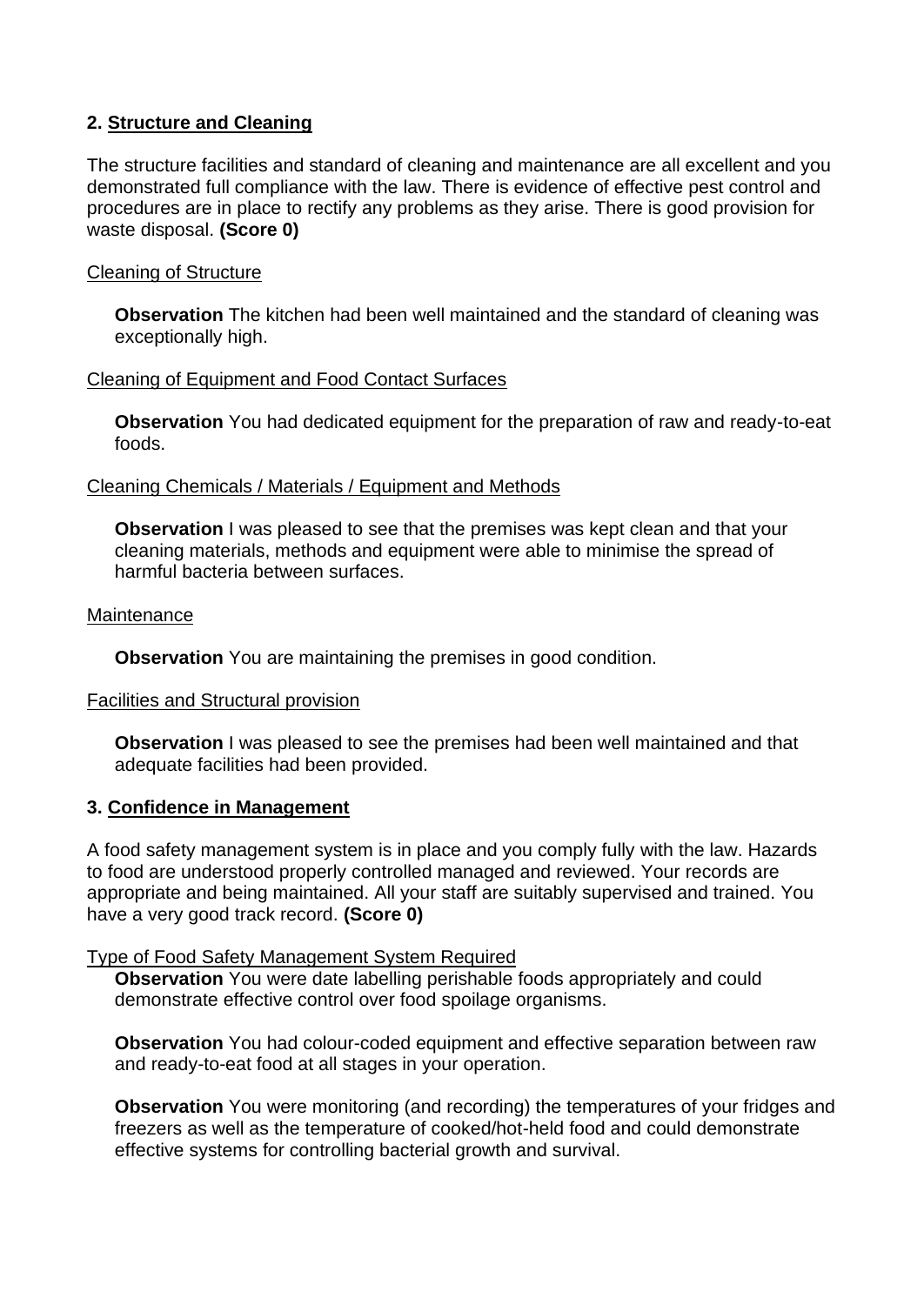# **2. Structure and Cleaning**

The structure facilities and standard of cleaning and maintenance are all excellent and you demonstrated full compliance with the law. There is evidence of effective pest control and procedures are in place to rectify any problems as they arise. There is good provision for waste disposal. **(Score 0)**

## Cleaning of Structure

**Observation** The kitchen had been well maintained and the standard of cleaning was exceptionally high.

### Cleaning of Equipment and Food Contact Surfaces

**Observation** You had dedicated equipment for the preparation of raw and ready-to-eat foods.

## Cleaning Chemicals / Materials / Equipment and Methods

**Observation** I was pleased to see that the premises was kept clean and that your cleaning materials, methods and equipment were able to minimise the spread of harmful bacteria between surfaces.

### **Maintenance**

**Observation** You are maintaining the premises in good condition.

### Facilities and Structural provision

**Observation** I was pleased to see the premises had been well maintained and that adequate facilities had been provided.

# **3. Confidence in Management**

A food safety management system is in place and you comply fully with the law. Hazards to food are understood properly controlled managed and reviewed. Your records are appropriate and being maintained. All your staff are suitably supervised and trained. You have a very good track record. **(Score 0)**

### Type of Food Safety Management System Required

**Observation** You were date labelling perishable foods appropriately and could demonstrate effective control over food spoilage organisms.

**Observation** You had colour-coded equipment and effective separation between raw and ready-to-eat food at all stages in your operation.

**Observation** You were monitoring (and recording) the temperatures of your fridges and freezers as well as the temperature of cooked/hot-held food and could demonstrate effective systems for controlling bacterial growth and survival.